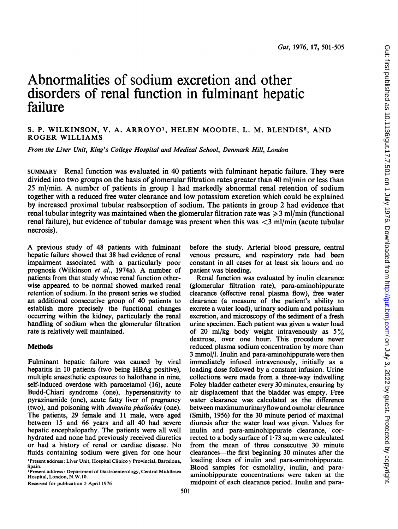# Abnormalities of sodium excretion and other disorders of renal function in fulminant hepatic failure

## S. P. WILKINSON, V. A. ARROYO', HELEN MOODIE, L. M. BLENDIS2, AND ROGER WILLIAMS

From the Liver Unit, King's College Hospital and Medical School, Denmark Hill, London

SUMMARY Renal function was evaluated in 40 patients with fulminant hepatic failure. They were divided into two groups on the basis of glomerular filtration rates greater than 40 ml/min or less than <sup>25</sup> ml/min. A number of patients in group <sup>1</sup> had markedly abnormal renal retention of sodium together with a reduced free water clearance and low potassium excretion which could be explained by increased proximal tubular reabsorption of sodium. The patients in group 2 had evidence that renal tubular integrity was maintained when the glomerular filtration rate was  $\geq 3$  ml/min (functional renal failure), but evidence of tubular damage was present when this was  $\langle 3 \text{ ml/min}$  (acute tubular necrosis).

A previous study of <sup>48</sup> patients with fulminant hepatic failure showed that 38 had evidence of renal impairment associated with a particularly poor prognosis (Wilkinson et al., 1974a). A number of patients from that study whose renal function otherwise appeared to be normal showed marked renal retention of sodium. In the present series we studied an additional consecutive group of 40 patients to establish more precisely the functional changes occurring within the kidney, particularly the renal handling of sodium when the glomerular filtration rate is relatively well maintained.

## **Methods**

Fulminant hepatic failure was caused by viral hepatitis in <sup>10</sup> patients (two being HBAg positive), multiple anaesthetic exposures to halothane in nine, self-induced overdose with paracetamol (16), acute Budd-Chiari syndrome (one), hypersensitivity to pyrazinamide (one), acute fatty liver of pregnancy (two), and poisoning with Amanita phalloides (one). The patients, 29 female and 11 male, were aged between 15 and 66 years and all 40 had severe hepatic encephalopathy. The patients were all well hydrated and none had previously received diuretics or had a history of renal or cardiac disease. No fluids containing sodium were given for one hour 'Present address: Liver Unit, Hospital Clinico y Provincial, Barcelona, Spain.

Received for publication 5 April 1976

before the study. Arterial blood pressure, central venous pressure, and respiratory rate had been constant in all cases for at least six hours and no patient was bleeding.

Renal function was evaluated by inulin clearance (glomerular filtration rate), para-aminohippurate clearance (effective renal plasma flow), free water clearance (a measure of the patient's ability to excrete a water load), urinary sodium and potassium excretion, and microscopy of the sediment of a fresh urine specimen. Each patient was given a water load of 20 ml/kg body weight intravenously as  $5\%$ dextrose, over one hour. This procedure never reduced plasma sodium concentration by more than 3 mmol/l. Inulin and para-aminohippurate were then immediately infused intravenously, initially as a loading dose followed by a constant infusion. Urine collections were made from a three-way indwelling Foley bladder catheter every 30 minutes, ensuring by air displacement that the bladder was empty. Free water clearance was calculated as the difference between maximumurinaryflow and osmolar clearance (Smith, 1956) for the 30 minute period of maximal diuresis after the water load was given. Values for inulin and para-aminohippurate clearance, corrected to a body surface of 1-73 sq.m were calculated from the mean of three consecutive 30 minute clearances-the first beginning 30 minutes after the loading doses of inulin and para-aminohippurate. Blood samples for osmolality, inulin, and paraaminohippurate concentrations were taken at the midpoint of each clearance period. Inulin and para-

<sup>&</sup>lt;sup>2</sup>Present address: Department of Gastroenterology, Central Middlesex Hospital, London, N.W.10.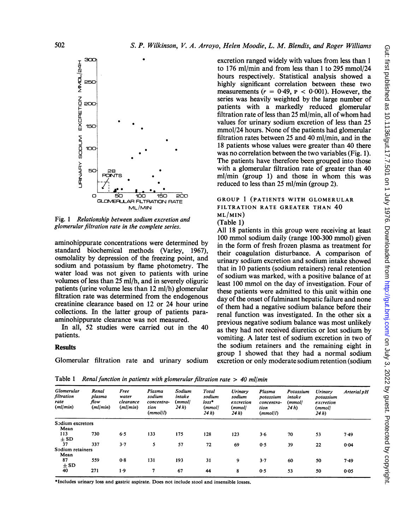

Fig. <sup>1</sup> Relationship between sodium excretion and glomerular filtration rate in the complete series.

aminohippurate concentrations were determined by standard biochemical methods (Varley, 1967), osmolality by depression of the freezing point, and sodium and potassium by flame photometry. The water load was not given to patients with urine volumes of less than 25 ml/h, and in severely oliguric patients (urine volume less than 12 ml/h) glomerular filtration rate was determined from the endogenous creatinine clearance based on 12 or 24 hour urine collections. In the latter group of patients paraaminohippurate clearance was not measured.

In all, 52 studies were carried out in the 40 patients.

## **Results**

Glomerular filtration rate and urinary sodium

excretion ranged widely with values from less than <sup>1</sup> to 176 ml/min and from less than <sup>1</sup> to 295 mmol/24 hours respectively. Statistical analysis showed a highly significant correlation between these two measurements ( $r = 0.49$ ,  $P < 0.001$ ). However, the series was heavily weighted by the large number of patients with a markedly reduced glomerular filtration rate of less than <sup>25</sup> ml/min, all of whom had values for urinary sodium excretion of less than 25 mmol/24 hours. None of the patients had glomerular filtration rates between 25 and 40 ml/min, and in the 18 patients whose values were greater than 40 there was no correlation between the two variables (Fig. 1). The patients have therefore been grouped into those with a glomerular filtration rate of greater than 40 ml/min (group 1) and those in whom this was reduced to less than 25 ml/min (group 2).

## GROUP <sup>1</sup> (PATIENTS WITH GLOMERULAR FILTRATION RATE GREATER THAN 40 ML/MIN)

(Table 1)

All 18 patients in this group were receiving at least 100 mmol sodium daily (range 100-300 mmol) given in the form of fresh frozen plasma as treatment for their coagulation disturbance. A comparison of urinary sodium excretion and sodium intake showed that in 10 patients (sodium retainers) renal retention of sodium was marked, with a positive balance of at least 100 mmol on the day of investigation. Four of these patients were admitted to this unit within one day of the onset of fulminant hepatic failure and none of them had a negative sodium balance before their renal function was investigated. In the other six a previous negative sodium balance was most unlikely as they had not received diuretics or lost sodium by vomiting. A later test of sodium excretion in two of the sodium retainers and the remaining eight in group <sup>1</sup> showed that they had a normal sodium excretion or only moderate sodium retention (sodium

Gut: first published as 10.1136/gut.17.7.501 on 1 July 1976. Downloaded from http://gut.bmj.com/ on July 3, 2022 by guest. Protected by copyright on July 3, 2022 by guest. Protected by copyright. <http://gut.bmj.com/> Gut: first published as 10.1136/gut.17.7.501 on 1 July 1976. Downloaded from

Table 1 Renal function in patients with glomerular filtration rate  $> 40$  ml/min

| Glomerular<br>filtration<br>rate<br>(ml/min) | Renal<br>plasma<br>flow<br>(ml/min) | Free<br>water<br>clearance<br>(ml/min) | Plasma<br>sodium<br>concentra-<br>tion<br>(mmol/l) | Sodium<br>intake<br>(mmoll<br>24 <sub>h</sub> | Total<br>sodium<br>$loss*$<br>(mmoll<br>24h | Urinary<br>sodium<br>excretion<br>(mmol/<br>24 <sub>h</sub> | Plasma<br>potassium<br>concentra-<br>tion<br>(mmol/l) | Potassium<br>intake<br>(mmol/<br>24h | Urinary<br>potassium<br>excretion<br>(mmol/<br>24 h) | Arterial pH |
|----------------------------------------------|-------------------------------------|----------------------------------------|----------------------------------------------------|-----------------------------------------------|---------------------------------------------|-------------------------------------------------------------|-------------------------------------------------------|--------------------------------------|------------------------------------------------------|-------------|
| Sodium excretors                             |                                     |                                        |                                                    |                                               |                                             |                                                             |                                                       |                                      |                                                      |             |
| Mean                                         |                                     |                                        |                                                    |                                               |                                             |                                                             |                                                       |                                      |                                                      |             |
| 113                                          | 730                                 | 6.5                                    | 133                                                | 175                                           | 128                                         | 123                                                         | 3.6                                                   | 70                                   | 53                                                   | 7.49        |
| $\pm$ SD                                     |                                     |                                        |                                                    |                                               |                                             |                                                             |                                                       |                                      |                                                      |             |
| 37                                           | 337                                 | 3.7                                    | 5                                                  | 57                                            | 72                                          | 69                                                          | 0.5                                                   | 39                                   | 22                                                   | 0.04        |
| Sodium retainers                             |                                     |                                        |                                                    |                                               |                                             |                                                             |                                                       |                                      |                                                      |             |
| Mean                                         |                                     |                                        |                                                    |                                               |                                             |                                                             |                                                       |                                      |                                                      |             |
| 87                                           | 559                                 | 0.8                                    | 131                                                | 193                                           | 31                                          | 9                                                           | $3 - 7$                                               | 60                                   | 50                                                   | 7.49        |
| $\pm$ SD                                     |                                     |                                        |                                                    |                                               |                                             |                                                             |                                                       |                                      |                                                      |             |
| 40                                           | 271                                 | 1.9                                    | 7                                                  | 67                                            | 44                                          | 8                                                           | 0.5                                                   | 53                                   | 50                                                   | 0.05        |

\*Includes urinary loss and gastric aspirate. Does not include stool and insensible losses.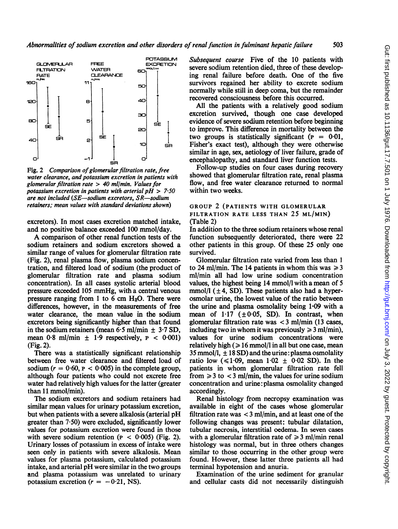

Fig. 2 Comparison of glomerular filtration rate, free water clearance, and potassium excretion in patients with glomerular filtration rate  $> 40$  ml/min. Values for potassium excretion in patients with arterial  $pH > 7.50$ are not included (SE-sodium excretors, SR-sodium retainers; mean values with standard deviations shown)

excretors). In most cases excretion matched intake, and no positive balance exceeded 100 mmol/day.

A comparison of other renal function tests of the sodium retainers and sodium excretors showed a similar range of values for glomerular filtration rate (Fig. 2), renal plasma flow, plasma sodium concentration, and filtered load of sodium (the product of glomerular filtration rate and plasma sodium concentration). In all cases systolic arterial blood pressure exceeded 105 mmHg, with a central venous pressure ranging from <sup>1</sup> to 6 cm H20. There were differences, however, in the measurements of free water clearance, the mean value in the sodium excretors being significantly higher than that found in the sodium retainers (mean  $6.5$  ml/min  $\pm$  3.7 SD, mean  $0.8$  ml/min  $\pm$  1.9 respectively,  $P < 0.001$ ) (Fig. 2).

There was a statistically significant relationship between free water clearance and filtered load of sodium ( $r = 0.60$ ,  $p < 0.005$ ) in the complete group, although four patients who could not excrete free water had relatively high values for the latter (greater than 11 mmol/min).

The sodium excretors and sodium retainers had similar mean values for urinary potassium excretion, but when patients with a severe alkalosis (arterial pH greater than  $7.50$ ) were excluded, significantly lower values for potassium excretion were found in those with severe sodium retention ( $P < 0.005$ ) (Fig. 2). Urinary losses of potassium in excess of intake were seen only in patients with severe alkalosis. Mean values for plasma potassium, calculated potassium intake, and arterial pH were similar in the two groups and plasma potassium was unrelated to urinary potassium excretion ( $r = -0.21$ , NS).

Subsequent course Five of the 10 patients with severe sodium retention died, three of these developing renal failure before death. One of the five survivors regained her ability to excrete sodium normally while still in deep coma, but the remainder recovered consciousness before this occurred.

All the patients with a relatively good sodium excretion survived, though one case developed evidence of severe sodium retention before beginning to improve. This difference in mortality between the two groups is statistically significant ( $p = 0.01$ , Fisher's exact test), although they were otherwise similar in age, sex, aetiology of liver failure, grade of encephalopathy, and standard liver function tests.

Follow-up studies on four cases during recovery showed that glomerular filtration rate, renal plasma flow, and free water clearance returned to normal within two weeks.

#### GROUP 2 (PATIENTS WITH GLOMERULAR FILTRATION RATE LESS THAN 25 ML/MIN) (Table 2)

In addition to the three sodium retainers whose renal function subsequently deteriorated, there were 22 other patients in this group. Of these 25 only one survived.

Glomerular filtration rate varied from less than <sup>I</sup> to 24 ml/min. The 14 patients in whom this was  $\geq 3$ ml/min all had low urine sodium concentration values, the highest being 14 mmol/l with a mean of 5 mmol/l  $(\pm 4, SD)$ . These patients also had a hyperosmolar urine, the lowest value of the ratio between the urine and plasma osmolality being  $1.09$  with a mean of  $1.17$  ( $\pm 0.05$ , SD). In contrast, when glomerular filtration rate was < <sup>3</sup> ml/min (13 cases, including two in whom it was previously  $\geq 3$  ml/min), values for urine sodium concentrations were relatively high ( $\geq 16$  mmol/l in all but one case, mean 35 mmol/l,  $\pm$  18 SD) and the urine: plasma osmolality ratio low ( $\leq 1.09$ , mean  $1.02 \pm 0.02$  SD). In the patients in whom glomerular filtration rate fell from  $\geq 3$  to  $\lt 3$  ml/min, the values for urine sodium concentration and urine: plasma osmolality changed accordingly.

Renal histology from necropsy examination was available in eight of the cases whose glomerular filtration rate was  $<$  3 ml/min, and at least one of the following changes was present: tubular dilatation, tubular necrosis, interstitial oedema. In seven cases with a glomerular filtration rate of  $\geq 3$  ml/min renal histology was normal, but in three others changes similar to those occurring in the other group were found. However, these latter three patients all had terminal hypotension and anuria.

Examination of the urine sediment for granular and cellular casts did not necessarily distinguish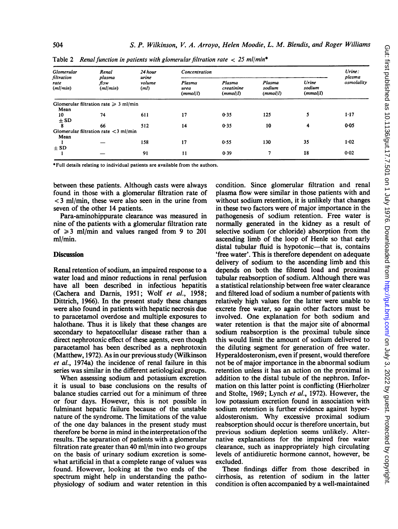| Glomerular                     | Renal                                      | 24 hour<br>urine<br>volume<br>(ml) | Concentration              | Urine:                           |                              |                             |                      |
|--------------------------------|--------------------------------------------|------------------------------------|----------------------------|----------------------------------|------------------------------|-----------------------------|----------------------|
| filtration<br>rate<br>(ml/min) | plasma<br>flow<br>(ml/min)                 |                                    | Plasma<br>urea<br>(mmol/l) | Plasma<br>creatinine<br>(mmol/l) | Plasma<br>sodium<br>(mmol/l) | Urine<br>sodium<br>(mmol/l) | plasma<br>osmolality |
|                                | Glomerular filtration rate $\geq 3$ ml/min |                                    |                            |                                  |                              |                             |                      |
| Mean<br>10                     | 74                                         | 611                                | 17                         | 0.35                             | 125                          | 5                           | 1.17                 |
| $\pm$ SD                       |                                            |                                    |                            |                                  |                              |                             |                      |
| 8                              | 66                                         | 512                                | 14                         | 0.35                             | 10                           | 4                           | 0.05                 |
|                                | Glomerular filtration rate $<$ 3 ml/min    |                                    |                            |                                  |                              |                             |                      |
| Mean                           |                                            |                                    |                            |                                  |                              |                             |                      |
|                                |                                            | 158                                | 17                         | 0.55                             | 130                          | 35                          | $1 - 02$             |
| $+$ SD                         |                                            |                                    |                            |                                  |                              |                             |                      |
|                                |                                            | 91                                 | 11                         | 0.39                             | 7                            | 18                          | 0.02                 |

Table 2 Renal function in patients with glomerular filtration rate  $\langle$  25 ml/min<sup>\*</sup>

\*Full details relating to individual patients are available from the authors.

between these patients. Although casts were always found in those with a glomerular filtration rate of < 3 ml/min, these were also seen in the urine from seven of the other 14 patients.

Para-aminohippurate clearance was measured in nine of the patients with a glomerular filtration rate of  $\geq 3$  ml/min and values ranged from 9 to 201 ml/min.

### **Discussion**

Renal retention of sodium, an impaired response to a water load and minor reductions in renal perfusion have all been described in infectious hepatitis (Cachera and Darnis, 1951; Wolf et al., 1958; Dittrich, 1966). In the present study these changes were also found in patients with hepatic necrosis due to paracetamol overdose and multiple exposures to halothane. Thus it is likely that these changes are secondary to hepatocellular disease rather than a direct nephrotoxic effect of these agents, even though paracetamol has been described as a nephrotoxin (Matthew, 1972). As in our previous study (Wilkinson et al., 1974a) the incidence of renal failure in this series was similar in the different aetiological groups.

When assessing sodium and potassium excretion it is usual to base conclusions on the results of balance studies carried out for a minimum of three or four days. However, this is not possible in fulminant hepatic failure because of the unstable nature of the syndrome. The limitations of the value of the one day balances in the present study must therefore be borne in mind in the interpretation of the results. The separation of patients with a glomerular filtration rate greater than 40 ml/min into two groups on the basis of urinary sodium excretion is somewhat artificial in that a complete range of values was found. However, looking at the two ends of the spectrum might help in understanding the pathophysiology of sodium and water retention in this condition. Since glomerular filtration and renal plasma flow were similar in those patients with and without sodium retention, it is unlikely that changes in these two factors were of major importance in the pathogenesis of sodium retention. Free water is normally generated in the kidney as a result of selective sodium (or chloride) absorption from the ascending limb of the loop of Henle so that early distal tubular fluid is hypotonic—that is, contains 'free water'. This is therefore dependent on adequate delivery of sodium to the ascending limb and this depends on both the filtered load and proximal tubular reabsorption of sodium. Although there was a statistical relationship between free water clearance and filtered load of sodium a number of patients with relatively high values for the latter were unable to excrete free water, so again other factors must be involved. One explanation for both sodium and water retention is that the major site of abnormal sodium reabsorption is the proximal tubule since this would limit the amount of sodium delivered to the diluting segment for generation of free water. Hyperaldosteronism, even if present, would therefore not be of major importance in the abnormal sodium retention unless it has an action on the proximal in addition to the distal tubule of the nephron. Information on this latter point is conflicting (Hierholzer and Stolte, 1969; Lynch et al., 1972). However, the low potassium excretion found in association with sodium retention is further evidence against hyperaldosteronism. Why excessive proximal sodium reabsorption should occur is therefore uncertain, but previous sodium depletion seems unlikely. Alternative explanations for the impaired free water clearance, such as inappropriately high circulating levels of antidiuretic hormone cannot, however, be excluded.

These findings differ from those described in cirrhosis, as retention of sodium in the latter condition is often accompanied by a well-maintained